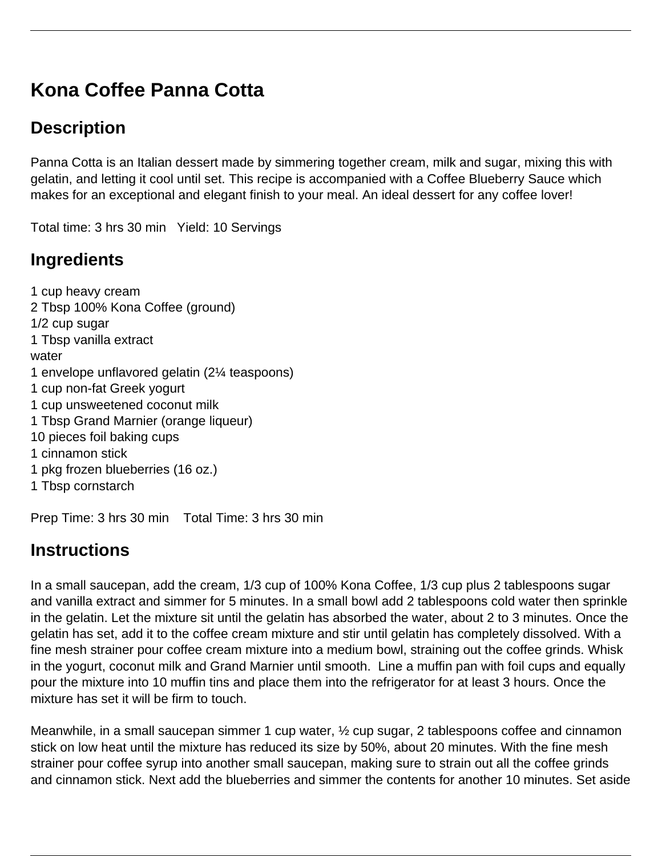# **Kona Coffee Panna Cotta**

# **Description**

Panna Cotta is an Italian dessert made by simmering together cream, milk and sugar, mixing this with gelatin, and letting it cool until set. This recipe is accompanied with a Coffee Blueberry Sauce which makes for an exceptional and elegant finish to your meal. An ideal dessert for any coffee lover!

Total time: 3 hrs 30 min Yield: 10 Servings

# **Ingredients**

1 cup heavy cream 2 Tbsp 100% Kona Coffee (ground) 1/2 cup sugar 1 Tbsp vanilla extract water 1 envelope unflavored gelatin (2¼ teaspoons) 1 cup non-fat Greek yogurt 1 cup unsweetened coconut milk 1 Tbsp Grand Marnier (orange liqueur) 10 pieces foil baking cups 1 cinnamon stick 1 pkg frozen blueberries (16 oz.) 1 Tbsp cornstarch

Prep Time: 3 hrs 30 min Total Time: 3 hrs 30 min

### **Instructions**

In a small saucepan, add the cream, 1/3 cup of 100% Kona Coffee, 1/3 cup plus 2 tablespoons sugar and vanilla extract and simmer for 5 minutes. In a small bowl add 2 tablespoons cold water then sprinkle in the gelatin. Let the mixture sit until the gelatin has absorbed the water, about 2 to 3 minutes. Once the gelatin has set, add it to the coffee cream mixture and stir until gelatin has completely dissolved. With a fine mesh strainer pour coffee cream mixture into a medium bowl, straining out the coffee grinds. Whisk in the yogurt, coconut milk and Grand Marnier until smooth. Line a muffin pan with foil cups and equally pour the mixture into 10 muffin tins and place them into the refrigerator for at least 3 hours. Once the mixture has set it will be firm to touch.

Meanwhile, in a small saucepan simmer 1 cup water,  $\frac{1}{2}$  cup sugar, 2 tablespoons coffee and cinnamon stick on low heat until the mixture has reduced its size by 50%, about 20 minutes. With the fine mesh strainer pour coffee syrup into another small saucepan, making sure to strain out all the coffee grinds and cinnamon stick. Next add the blueberries and simmer the contents for another 10 minutes. Set aside